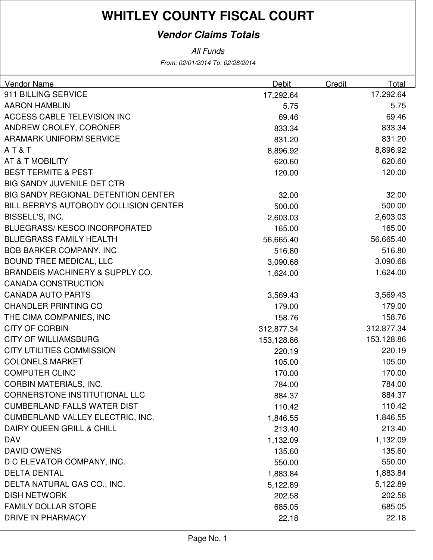### **Vendor Claims Totals**

| Vendor Name                                | Debit      | Credit | Total      |
|--------------------------------------------|------------|--------|------------|
| 911 BILLING SERVICE                        | 17,292.64  |        | 17,292.64  |
| <b>AARON HAMBLIN</b>                       | 5.75       |        | 5.75       |
| <b>ACCESS CABLE TELEVISION INC</b>         | 69.46      |        | 69.46      |
| ANDREW CROLEY, CORONER                     | 833.34     |        | 833.34     |
| <b>ARAMARK UNIFORM SERVICE</b>             | 831.20     |        | 831.20     |
| AT&T                                       | 8,896.92   |        | 8,896.92   |
| AT & T MOBILITY                            | 620.60     |        | 620.60     |
| <b>BEST TERMITE &amp; PEST</b>             | 120.00     |        | 120.00     |
| <b>BIG SANDY JUVENILE DET CTR</b>          |            |        |            |
| <b>BIG SANDY REGIONAL DETENTION CENTER</b> | 32.00      |        | 32.00      |
| BILL BERRY'S AUTOBODY COLLISION CENTER     | 500.00     |        | 500.00     |
| BISSELL'S, INC.                            | 2,603.03   |        | 2,603.03   |
| BLUEGRASS/KESCO INCORPORATED               | 165.00     |        | 165.00     |
| <b>BLUEGRASS FAMILY HEALTH</b>             | 56,665.40  |        | 56,665.40  |
| <b>BOB BARKER COMPANY, INC</b>             | 516.80     |        | 516.80     |
| <b>BOUND TREE MEDICAL, LLC</b>             | 3,090.68   |        | 3,090.68   |
| <b>BRANDEIS MACHINERY &amp; SUPPLY CO.</b> | 1,624.00   |        | 1,624.00   |
| <b>CANADA CONSTRUCTION</b>                 |            |        |            |
| <b>CANADA AUTO PARTS</b>                   | 3,569.43   |        | 3,569.43   |
| <b>CHANDLER PRINTING CO</b>                | 179.00     |        | 179.00     |
| THE CIMA COMPANIES, INC                    | 158.76     |        | 158.76     |
| <b>CITY OF CORBIN</b>                      | 312,877.34 |        | 312,877.34 |
| <b>CITY OF WILLIAMSBURG</b>                | 153,128.86 |        | 153,128.86 |
| <b>CITY UTILITIES COMMISSION</b>           | 220.19     |        | 220.19     |
| <b>COLONELS MARKET</b>                     | 105.00     |        | 105.00     |
| <b>COMPUTER CLINC</b>                      | 170.00     |        | 170.00     |
| <b>CORBIN MATERIALS, INC.</b>              | 784.00     |        | 784.00     |
| CORNERSTONE INSTITUTIONAL LLC              | 884.37     |        | 884.37     |
| <b>CUMBERLAND FALLS WATER DIST</b>         | 110.42     |        | 110.42     |
| CUMBERLAND VALLEY ELECTRIC, INC.           | 1,846.55   |        | 1,846.55   |
| DAIRY QUEEN GRILL & CHILL                  | 213.40     |        | 213.40     |
| <b>DAV</b>                                 | 1,132.09   |        | 1,132.09   |
| <b>DAVID OWENS</b>                         | 135.60     |        | 135.60     |
| D C ELEVATOR COMPANY, INC.                 | 550.00     |        | 550.00     |
| <b>DELTA DENTAL</b>                        | 1,883.84   |        | 1,883.84   |
| DELTA NATURAL GAS CO., INC.                | 5,122.89   |        | 5,122.89   |
| <b>DISH NETWORK</b>                        | 202.58     |        | 202.58     |
| <b>FAMILY DOLLAR STORE</b>                 | 685.05     |        | 685.05     |
| <b>DRIVE IN PHARMACY</b>                   | 22.18      |        | 22.18      |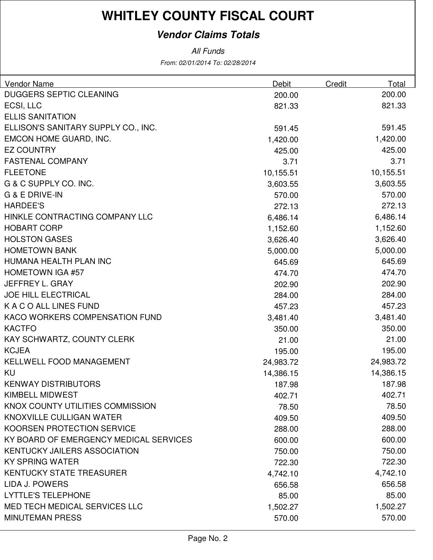### **Vendor Claims Totals**

| Vendor Name                            | Debit     | Credit | Total     |
|----------------------------------------|-----------|--------|-----------|
| <b>DUGGERS SEPTIC CLEANING</b>         | 200.00    |        | 200.00    |
| ECSI, LLC                              | 821.33    |        | 821.33    |
| <b>ELLIS SANITATION</b>                |           |        |           |
| ELLISON'S SANITARY SUPPLY CO., INC.    | 591.45    |        | 591.45    |
| EMCON HOME GUARD, INC.                 | 1,420.00  |        | 1,420.00  |
| <b>EZ COUNTRY</b>                      | 425.00    |        | 425.00    |
| <b>FASTENAL COMPANY</b>                | 3.71      |        | 3.71      |
| <b>FLEETONE</b>                        | 10,155.51 |        | 10,155.51 |
| G & C SUPPLY CO. INC.                  | 3,603.55  |        | 3,603.55  |
| G & E DRIVE-IN                         | 570.00    |        | 570.00    |
| <b>HARDEE'S</b>                        | 272.13    |        | 272.13    |
| HINKLE CONTRACTING COMPANY LLC         | 6,486.14  |        | 6,486.14  |
| <b>HOBART CORP</b>                     | 1,152.60  |        | 1,152.60  |
| <b>HOLSTON GASES</b>                   | 3,626.40  |        | 3,626.40  |
| <b>HOMETOWN BANK</b>                   | 5,000.00  |        | 5,000.00  |
| HUMANA HEALTH PLAN INC                 | 645.69    |        | 645.69    |
| <b>HOMETOWN IGA #57</b>                | 474.70    |        | 474.70    |
| JEFFREY L. GRAY                        | 202.90    |        | 202.90    |
| <b>JOE HILL ELECTRICAL</b>             | 284.00    |        | 284.00    |
| K A C O ALL LINES FUND                 | 457.23    |        | 457.23    |
| KACO WORKERS COMPENSATION FUND         | 3,481.40  |        | 3,481.40  |
| <b>KACTFO</b>                          | 350.00    |        | 350.00    |
| KAY SCHWARTZ, COUNTY CLERK             | 21.00     |        | 21.00     |
| <b>KCJEA</b>                           | 195.00    |        | 195.00    |
| KELLWELL FOOD MANAGEMENT               | 24,983.72 |        | 24,983.72 |
| KU                                     | 14,386.15 |        | 14,386.15 |
| <b>KENWAY DISTRIBUTORS</b>             | 187.98    |        | 187.98    |
| KIMBELL MIDWEST                        | 402.71    |        | 402.71    |
| KNOX COUNTY UTILITIES COMMISSION       | 78.50     |        | 78.50     |
| KNOXVILLE CULLIGAN WATER               | 409.50    |        | 409.50    |
| KOORSEN PROTECTION SERVICE             | 288.00    |        | 288.00    |
| KY BOARD OF EMERGENCY MEDICAL SERVICES | 600.00    |        | 600.00    |
| <b>KENTUCKY JAILERS ASSOCIATION</b>    | 750.00    |        | 750.00    |
| <b>KY SPRING WATER</b>                 | 722.30    |        | 722.30    |
| <b>KENTUCKY STATE TREASURER</b>        | 4,742.10  |        | 4,742.10  |
| LIDA J. POWERS                         | 656.58    |        | 656.58    |
| <b>LYTTLE'S TELEPHONE</b>              | 85.00     |        | 85.00     |
| <b>MED TECH MEDICAL SERVICES LLC</b>   | 1,502.27  |        | 1,502.27  |
| <b>MINUTEMAN PRESS</b>                 | 570.00    |        | 570.00    |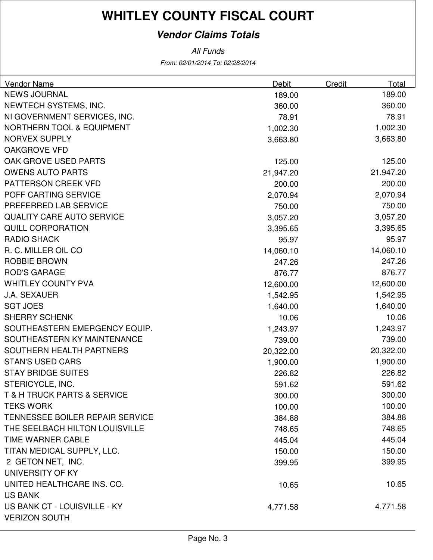### **Vendor Claims Totals**

| <b>Vendor Name</b>                     | Debit     | <b>Credit</b> | Total     |
|----------------------------------------|-----------|---------------|-----------|
| <b>NEWS JOURNAL</b>                    | 189.00    |               | 189.00    |
| NEWTECH SYSTEMS, INC.                  | 360.00    |               | 360.00    |
| NI GOVERNMENT SERVICES, INC.           | 78.91     |               | 78.91     |
| <b>NORTHERN TOOL &amp; EQUIPMENT</b>   | 1,002.30  |               | 1,002.30  |
| <b>NORVEX SUPPLY</b>                   | 3,663.80  |               | 3,663.80  |
| <b>OAKGROVE VFD</b>                    |           |               |           |
| OAK GROVE USED PARTS                   | 125.00    |               | 125.00    |
| <b>OWENS AUTO PARTS</b>                | 21,947.20 |               | 21,947.20 |
| PATTERSON CREEK VFD                    | 200.00    |               | 200.00    |
| POFF CARTING SERVICE                   | 2,070.94  |               | 2,070.94  |
| PREFERRED LAB SERVICE                  | 750.00    |               | 750.00    |
| <b>QUALITY CARE AUTO SERVICE</b>       | 3,057.20  |               | 3,057.20  |
| <b>QUILL CORPORATION</b>               | 3,395.65  |               | 3,395.65  |
| <b>RADIO SHACK</b>                     | 95.97     |               | 95.97     |
| R. C. MILLER OIL CO                    | 14,060.10 |               | 14,060.10 |
| <b>ROBBIE BROWN</b>                    | 247.26    |               | 247.26    |
| <b>ROD'S GARAGE</b>                    | 876.77    |               | 876.77    |
| <b>WHITLEY COUNTY PVA</b>              | 12,600.00 |               | 12,600.00 |
| <b>J.A. SEXAUER</b>                    | 1,542.95  |               | 1,542.95  |
| <b>SGT JOES</b>                        | 1,640.00  |               | 1,640.00  |
| <b>SHERRY SCHENK</b>                   | 10.06     |               | 10.06     |
| SOUTHEASTERN EMERGENCY EQUIP.          | 1,243.97  |               | 1,243.97  |
| SOUTHEASTERN KY MAINTENANCE            | 739.00    |               | 739.00    |
| SOUTHERN HEALTH PARTNERS               | 20,322.00 |               | 20,322.00 |
| <b>STAN'S USED CARS</b>                | 1,900.00  |               | 1,900.00  |
| <b>STAY BRIDGE SUITES</b>              | 226.82    |               | 226.82    |
| STERICYCLE, INC.                       | 591.62    |               | 591.62    |
| T & H TRUCK PARTS & SERVICE            | 300.00    |               | 300.00    |
| <b>TEKS WORK</b>                       | 100.00    |               | 100.00    |
| <b>TENNESSEE BOILER REPAIR SERVICE</b> | 384.88    |               | 384.88    |
| THE SEELBACH HILTON LOUISVILLE         | 748.65    |               | 748.65    |
| TIME WARNER CABLE                      | 445.04    |               | 445.04    |
| TITAN MEDICAL SUPPLY, LLC.             | 150.00    |               | 150.00    |
| 2 GETON NET, INC.                      | 399.95    |               | 399.95    |
| UNIVERSITY OF KY                       |           |               |           |
| UNITED HEALTHCARE INS. CO.             | 10.65     |               | 10.65     |
| <b>US BANK</b>                         |           |               |           |
| US BANK CT - LOUISVILLE - KY           | 4,771.58  |               | 4,771.58  |
| <b>VERIZON SOUTH</b>                   |           |               |           |